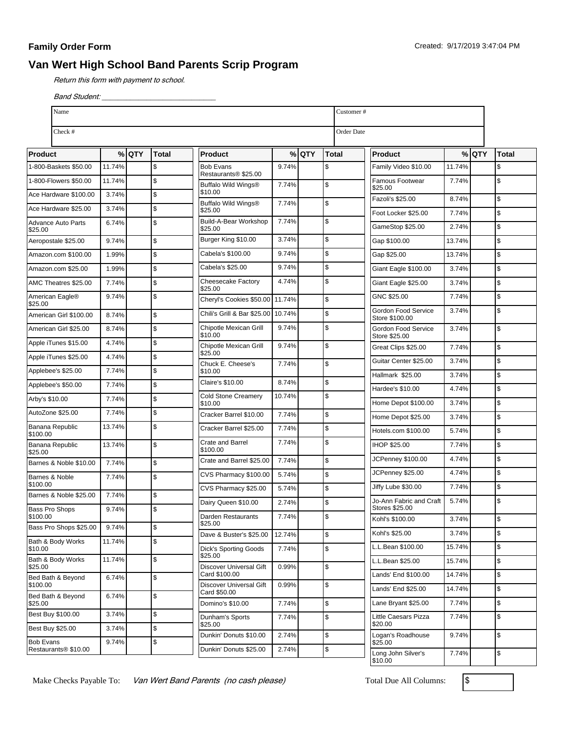## **Family Order Form**

## **Van Wert High School Band Parents Scrip Program**

Return this form with payment to school.

Band Student:

| Name                                     |        |       |                         |                                             |        |         | Customer#     |                                           |        |         |              |
|------------------------------------------|--------|-------|-------------------------|---------------------------------------------|--------|---------|---------------|-------------------------------------------|--------|---------|--------------|
| Check #                                  |        |       |                         |                                             |        |         | Order Date    |                                           |        |         |              |
| Product                                  |        | %lQTY | <b>Total</b>            | Product                                     |        | $%$ QTY | Total         | <b>Product</b>                            |        | $%$ QTY | <b>Total</b> |
| 1-800-Baskets \$50.00                    | 11.74% |       | S.                      | <b>Bob Evans</b>                            | 9.74%  |         | \$            | Family Video \$10.00                      | 11.74% |         | \$           |
| 1-800-Flowers \$50.00                    | 11.74% |       | $\sqrt{3}$              | Restaurants® \$25.00<br>Buffalo Wild Wings® | 7.74%  |         | $\mathsf{\$}$ | Famous Footwear<br>\$25.00                | 7.74%  |         | \$           |
| Ace Hardware \$100.00                    | 3.74%  |       | $\sqrt{3}$              | \$10.00                                     |        |         |               | Fazoli's \$25.00                          | 8.74%  |         | \$           |
| Ace Hardware \$25.00                     | 3.74%  |       | $\sqrt{3}$              | Buffalo Wild Wings®<br>\$25.00              | 7.74%  |         | \$            | Foot Locker \$25.00                       | 7.74%  |         | \$           |
| <b>Advance Auto Parts</b><br>\$25.00     | 6.74%  |       | $\sqrt{3}$              | Build-A-Bear Workshop<br>\$25.00            | 7.74%  |         | $\mathfrak s$ | GameStop \$25.00                          | 2.74%  |         | \$           |
| Aeropostale \$25.00                      | 9.74%  |       | $\sqrt{3}$              | Burger King \$10.00                         | 3.74%  |         | $\mathsf{\$}$ | Gap \$100.00                              | 13.74% |         | \$           |
| Amazon.com \$100.00                      | 1.99%  |       | S.                      | Cabela's \$100.00                           | 9.74%  |         | $\mathsf{\$}$ | Gap \$25.00                               | 13.74% |         | \$           |
| Amazon.com \$25.00                       | 1.99%  |       | $\sqrt{3}$              | Cabela's \$25.00                            | 9.74%  |         | $\mathsf{\$}$ | Giant Eagle \$100.00                      | 3.74%  |         | \$           |
| AMC Theatres \$25.00                     | 7.74%  |       | $\sqrt{3}$              | Cheesecake Factory<br>\$25.00               | 4.74%  |         | $\mathsf{\$}$ | Giant Eagle \$25.00                       | 3.74%  |         | \$           |
| American Eagle®                          | 9.74%  |       | $\sqrt{3}$              | Cheryl's Cookies \$50.00   11.74%           |        |         | $\mathsf{\$}$ | GNC \$25.00                               | 7.74%  |         | \$           |
| \$25.00<br>American Girl \$100.00        | 8.74%  |       | $\sqrt{3}$              | Chili's Grill & Bar \$25.00                 | 10.74% |         | $\mathsf{\$}$ | Gordon Food Service<br>Store \$100.00     | 3.74%  |         | \$           |
| American Girl \$25.00                    | 8.74%  |       | $\sqrt{3}$              | Chipotle Mexican Grill<br>\$10.00           | 9.74%  |         | $\mathsf{\$}$ | Gordon Food Service                       | 3.74%  |         | \$           |
| Apple iTunes \$15.00                     | 4.74%  |       | S.                      | Chipotle Mexican Grill                      | 9.74%  |         | \$            | Store \$25.00<br>Great Clips \$25.00      | 7.74%  |         | \$           |
| Apple iTunes \$25.00                     | 4.74%  |       | $\sqrt{3}$              | \$25.00<br>Chuck E. Cheese's                | 7.74%  |         | $\mathsf{\$}$ | Guitar Center \$25.00                     | 3.74%  |         | \$           |
| Applebee's \$25.00                       | 7.74%  |       | $\sqrt{3}$              | \$10.00                                     |        |         |               | Hallmark \$25.00                          | 3.74%  |         | \$           |
| Applebee's \$50.00                       | 7.74%  |       | $\sqrt{3}$              | Claire's \$10.00                            | 8.74%  |         | \$            | Hardee's \$10.00                          | 4.74%  |         | \$           |
| Arby's \$10.00                           | 7.74%  |       | $\sqrt{3}$              | <b>Cold Stone Creamery</b><br>\$10.00       | 10.74% |         | $\mathsf{\$}$ | Home Depot \$100.00                       | 3.74%  |         | \$           |
| AutoZone \$25.00                         | 7.74%  |       | $\sqrt{3}$              | Cracker Barrel \$10.00                      | 7.74%  |         | $\mathfrak s$ | Home Depot \$25.00                        | 3.74%  |         | \$           |
| Banana Republic<br>\$100.00              | 13.74% |       | $\sqrt{3}$              | Cracker Barrel \$25.00                      | 7.74%  |         | $\mathsf{\$}$ | Hotels.com \$100.00                       | 5.74%  |         | \$           |
| Banana Republic<br>\$25.00               | 13.74% |       | $\sqrt{3}$              | Crate and Barrel<br>\$100.00                | 7.74%  |         | $\mathsf{\$}$ | IHOP \$25.00                              | 7.74%  |         | \$           |
| Barnes & Noble \$10.00                   | 7.74%  |       | $\sqrt{3}$              | Crate and Barrel \$25.00                    | 7.74%  |         | $\mathsf{\$}$ | JCPenney \$100.00                         | 4.74%  |         | \$           |
| Barnes & Noble                           | 7.74%  |       | $\overline{\mathbf{s}}$ | CVS Pharmacy \$100.00                       | 5.74%  |         | $\mathsf{\$}$ | JCPenney \$25.00                          | 4.74%  |         | \$           |
| \$100.00<br>Barnes & Noble \$25.00       | 7.74%  |       | $\sqrt{3}$              | CVS Pharmacy \$25.00                        | 5.74%  |         | $\mathsf{\$}$ | Jiffy Lube \$30.00                        | 7.74%  |         | \$           |
| <b>Bass Pro Shops</b>                    | 9.74%  |       | l\$                     | Dairy Queen \$10.00                         | 2.74%  |         | \$            | Jo-Ann Fabric and Craft<br>Stores \$25.00 | 5.74%  |         | \$           |
| \$100.00                                 |        |       |                         | Darden Restaurants<br>\$25.00               | 7.74%  |         | S.            | Kohl's \$100.00                           | 3.74%  |         | \$           |
| Bass Pro Shops \$25.00                   | 9.74%  |       | $\sqrt{3}$              | Dave & Buster's \$25.00                     | 12.74% |         | \$            | Kohl's \$25.00                            | 3.74%  |         | \$           |
| Bath & Body Works<br>\$10.00             | 11.74% |       | $\sqrt{3}$              | <b>Dick's Sporting Goods</b>                | 7.74%  |         | \$            | L.L.Bean \$100.00                         | 15.74% |         | \$           |
| Bath & Body Works<br>\$25.00             | 11.74% |       | $\sqrt{3}$              | \$25.00<br><b>Discover Universal Gift</b>   | 0.99%  |         | \$            | L.L.Bean \$25.00                          | 15.74% |         | \$           |
| Bed Bath & Beyond                        | 6.74%  |       | $\sqrt{3}$              | Card \$100.00                               |        |         |               | Lands' End \$100.00                       | 14.74% |         | \$           |
| \$100.00<br>Bed Bath & Beyond            | 6.74%  |       | $\sqrt{3}$              | Discover Universal Gift<br>Card \$50.00     | 0.99%  |         | \$            | Lands' End \$25.00                        | 14.74% |         | \$           |
| \$25.00                                  |        |       |                         | Domino's \$10.00                            | 7.74%  |         | \$            | Lane Bryant \$25.00                       | 7.74%  |         | \$           |
| Best Buy \$100.00                        | 3.74%  |       | $\sqrt{3}$              | Dunham's Sports<br>\$25.00                  | 7.74%  |         | \$            | Little Caesars Pizza<br>\$20.00           | 7.74%  |         | \$           |
| <b>Best Buy \$25.00</b>                  | 3.74%  |       | S.                      | Dunkin' Donuts \$10.00                      | 2.74%  |         | $\,$          | Logan's Roadhouse                         | 9.74%  |         | \$           |
| <b>Bob Evans</b><br>Restaurants® \$10.00 | 9.74%  |       | $\sqrt{3}$              | Dunkin' Donuts \$25.00                      | 2.74%  |         | \$            | \$25.00<br>Long John Silver's             | 7.74%  |         | \$           |